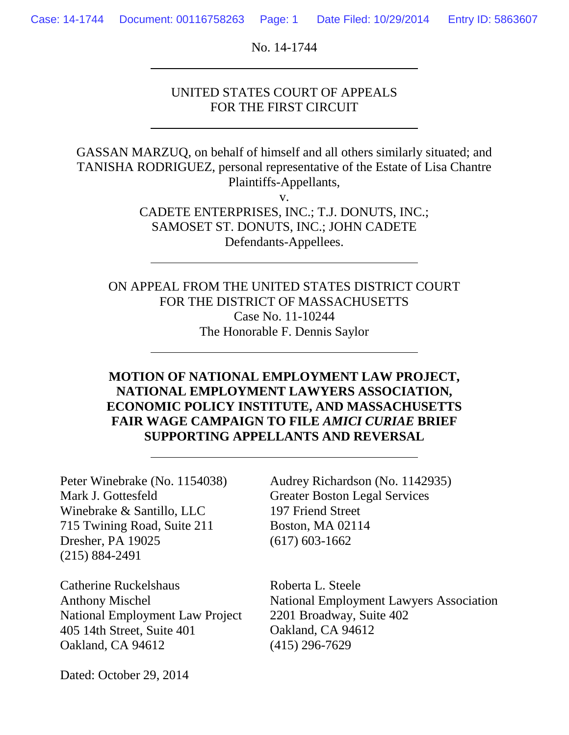No. 14-1744

### UNITED STATES COURT OF APPEALS FOR THE FIRST CIRCUIT

GASSAN MARZUQ, on behalf of himself and all others similarly situated; and TANISHA RODRIGUEZ, personal representative of the Estate of Lisa Chantre Plaintiffs-Appellants,

v.

CADETE ENTERPRISES, INC.; T.J. DONUTS, INC.; SAMOSET ST. DONUTS, INC.; JOHN CADETE Defendants-Appellees.

ON APPEAL FROM THE UNITED STATES DISTRICT COURT FOR THE DISTRICT OF MASSACHUSETTS Case No. 11-10244 The Honorable F. Dennis Saylor

# **MOTION OF NATIONAL EMPLOYMENT LAW PROJECT, NATIONAL EMPLOYMENT LAWYERS ASSOCIATION, ECONOMIC POLICY INSTITUTE, AND MASSACHUSETTS FAIR WAGE CAMPAIGN TO FILE** *AMICI CURIAE* **BRIEF SUPPORTING APPELLANTS AND REVERSAL**

Peter Winebrake (No. 1154038) Mark J. Gottesfeld Winebrake & Santillo, LLC 715 Twining Road, Suite 211 Dresher, PA 19025 (215) 884-2491

Catherine Ruckelshaus Anthony Mischel National Employment Law Project 405 14th Street, Suite 401 Oakland, CA 94612

Audrey Richardson (No. 1142935) Greater Boston Legal Services 197 Friend Street Boston, MA 02114 (617) 603-1662

Roberta L. Steele National Employment Lawyers Association 2201 Broadway, Suite 402 Oakland, CA 94612 (415) 296-7629

Dated: October 29, 2014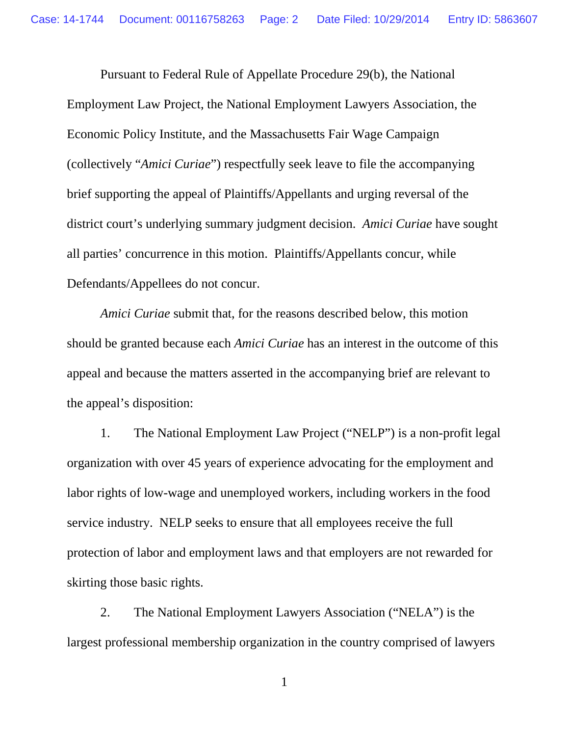Pursuant to Federal Rule of Appellate Procedure 29(b), the National Employment Law Project, the National Employment Lawyers Association, the Economic Policy Institute, and the Massachusetts Fair Wage Campaign (collectively "*Amici Curiae*") respectfully seek leave to file the accompanying brief supporting the appeal of Plaintiffs/Appellants and urging reversal of the district court's underlying summary judgment decision. *Amici Curiae* have sought all parties' concurrence in this motion. Plaintiffs/Appellants concur, while Defendants/Appellees do not concur.

*Amici Curiae* submit that, for the reasons described below, this motion should be granted because each *Amici Curiae* has an interest in the outcome of this appeal and because the matters asserted in the accompanying brief are relevant to the appeal's disposition:

1. The National Employment Law Project ("NELP") is a non-profit legal organization with over 45 years of experience advocating for the employment and labor rights of low-wage and unemployed workers, including workers in the food service industry. NELP seeks to ensure that all employees receive the full protection of labor and employment laws and that employers are not rewarded for skirting those basic rights.

2. The National Employment Lawyers Association ("NELA") is the largest professional membership organization in the country comprised of lawyers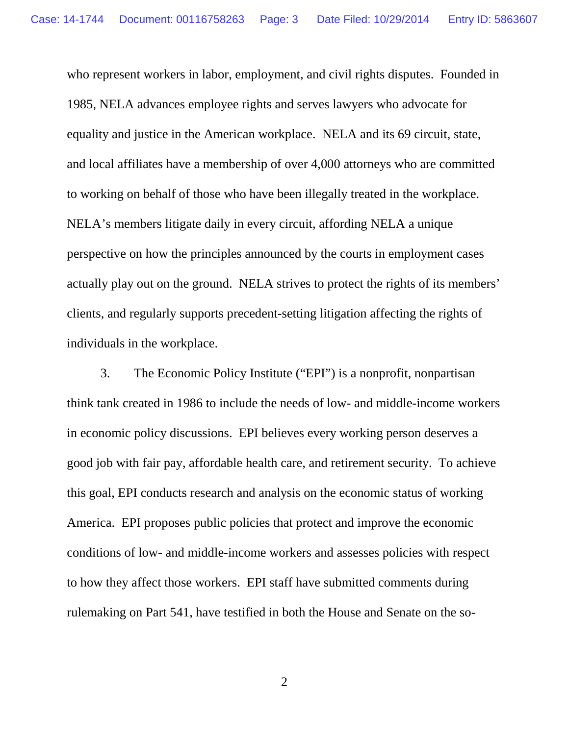who represent workers in labor, employment, and civil rights disputes. Founded in 1985, NELA advances employee rights and serves lawyers who advocate for equality and justice in the American workplace. NELA and its 69 circuit, state, and local affiliates have a membership of over 4,000 attorneys who are committed to working on behalf of those who have been illegally treated in the workplace. NELA's members litigate daily in every circuit, affording NELA a unique perspective on how the principles announced by the courts in employment cases actually play out on the ground. NELA strives to protect the rights of its members' clients, and regularly supports precedent-setting litigation affecting the rights of individuals in the workplace.

3. The Economic Policy Institute ("EPI") is a nonprofit, nonpartisan think tank created in 1986 to include the needs of low- and middle-income workers in economic policy discussions. EPI believes every working person deserves a good job with fair pay, affordable health care, and retirement security. To achieve this goal, EPI conducts research and analysis on the economic status of working America. EPI proposes public policies that protect and improve the economic conditions of low- and middle-income workers and assesses policies with respect to how they affect those workers. EPI staff have submitted comments during rulemaking on Part 541, have testified in both the House and Senate on the so-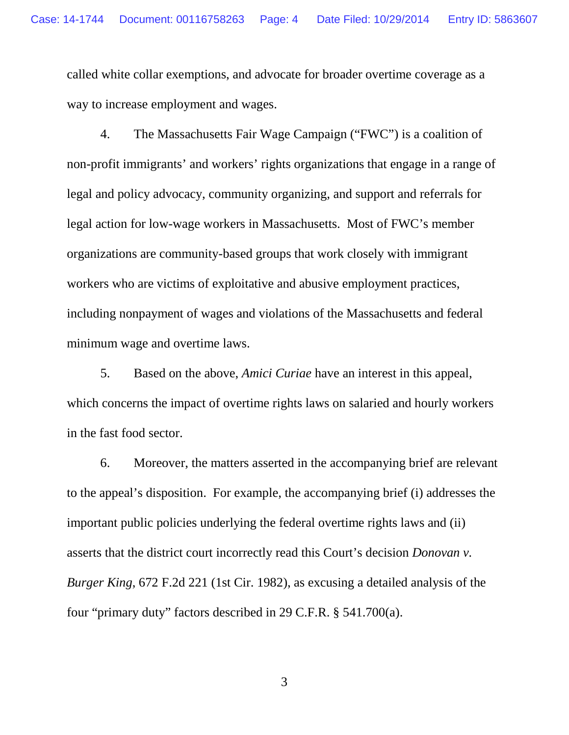called white collar exemptions, and advocate for broader overtime coverage as a way to increase employment and wages.

4. The Massachusetts Fair Wage Campaign ("FWC") is a coalition of non-profit immigrants' and workers' rights organizations that engage in a range of legal and policy advocacy, community organizing, and support and referrals for legal action for low-wage workers in Massachusetts. Most of FWC's member organizations are community-based groups that work closely with immigrant workers who are victims of exploitative and abusive employment practices, including nonpayment of wages and violations of the Massachusetts and federal minimum wage and overtime laws.

5. Based on the above, *Amici Curiae* have an interest in this appeal, which concerns the impact of overtime rights laws on salaried and hourly workers in the fast food sector.

6. Moreover, the matters asserted in the accompanying brief are relevant to the appeal's disposition. For example, the accompanying brief (i) addresses the important public policies underlying the federal overtime rights laws and (ii) asserts that the district court incorrectly read this Court's decision *Donovan v. Burger King*, 672 F.2d 221 (1st Cir. 1982), as excusing a detailed analysis of the four "primary duty" factors described in 29 C.F.R. § 541.700(a).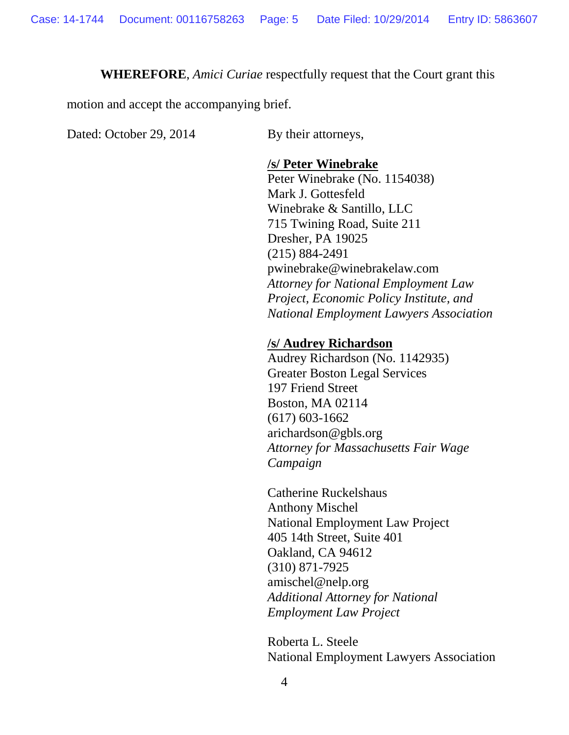#### **WHEREFORE**, *Amici Curiae* respectfully request that the Court grant this

motion and accept the accompanying brief.

Dated: October 29, 2014 By their attorneys,

#### **/s/ Peter Winebrake**

Peter Winebrake (No. 1154038) Mark J. Gottesfeld Winebrake & Santillo, LLC 715 Twining Road, Suite 211 Dresher, PA 19025 (215) 884-2491 pwinebrake@winebrakelaw.com *Attorney for National Employment Law Project, Economic Policy Institute, and National Employment Lawyers Association*

#### **/s/ Audrey Richardson**

Audrey Richardson (No. 1142935) Greater Boston Legal Services 197 Friend Street Boston, MA 02114 (617) 603-1662 arichardson@gbls.org *Attorney for Massachusetts Fair Wage Campaign*

Catherine Ruckelshaus Anthony Mischel National Employment Law Project 405 14th Street, Suite 401 Oakland, CA 94612 (310) 871-7925 amischel@nelp.org *Additional Attorney for National Employment Law Project*

Roberta L. Steele National Employment Lawyers Association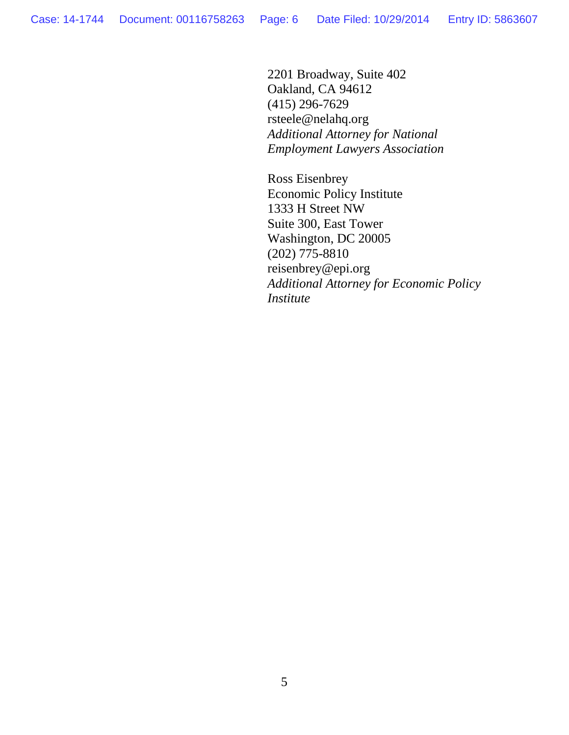2201 Broadway, Suite 402 Oakland, CA 94612 (415) 296-7629 rsteele@nelahq.org *Additional Attorney for National Employment Lawyers Association*

Ross Eisenbrey Economic Policy Institute 1333 H Street NW Suite 300, East Tower Washington, DC 20005 (202) 775-8810 reisenbrey@epi.org *Additional Attorney for Economic Policy Institute*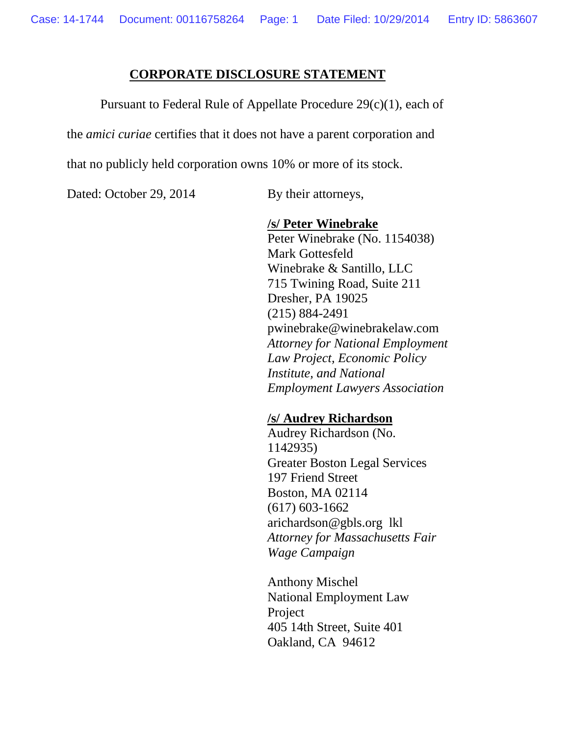#### **CORPORATE DISCLOSURE STATEMENT**

Pursuant to Federal Rule of Appellate Procedure 29(c)(1), each of

the *amici curiae* certifies that it does not have a parent corporation and

that no publicly held corporation owns 10% or more of its stock.

Dated: October 29, 2014 By their attorneys,

#### **/s/ Peter Winebrake**

Peter Winebrake (No. 1154038) Mark Gottesfeld Winebrake & Santillo, LLC 715 Twining Road, Suite 211 Dresher, PA 19025 (215) 884-2491 pwinebrake@winebrakelaw.com *Attorney for National Employment Law Project, Economic Policy Institute, and National Employment Lawyers Association*

#### **/s/ Audrey Richardson**

Audrey Richardson (No. 1142935) Greater Boston Legal Services 197 Friend Street Boston, MA 02114 (617) 603-1662 arichardson@gbls.org lkl *Attorney for Massachusetts Fair Wage Campaign*

Anthony Mischel National Employment Law Project 405 14th Street, Suite 401 Oakland, CA 94612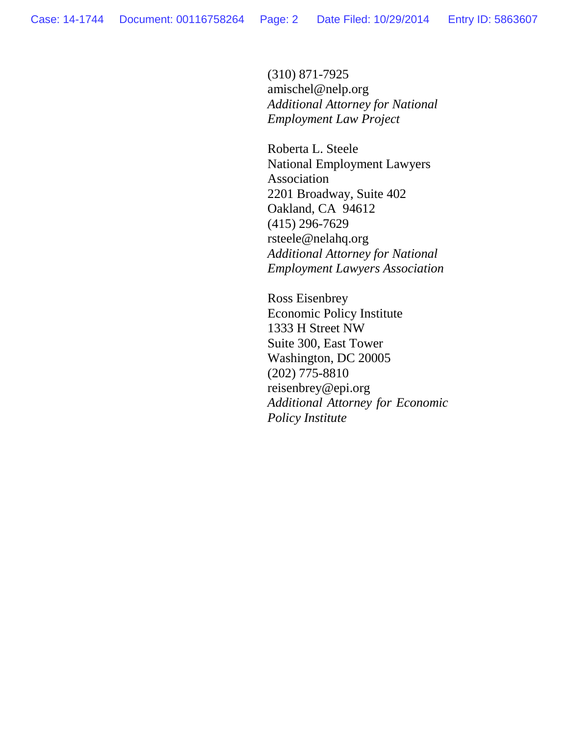(310) 871-7925 amischel@nelp.org *Additional Attorney for National Employment Law Project*

Roberta L. Steele National Employment Lawyers Association 2201 Broadway, Suite 402 Oakland, CA 94612 (415) 296-7629 rsteele@nelahq.org *Additional Attorney for National Employment Lawyers Association*

Ross Eisenbrey Economic Policy Institute 1333 H Street NW Suite 300, East Tower Washington, DC 20005 (202) 775-8810 reisenbrey@epi.org *Additional Attorney for Economic Policy Institute*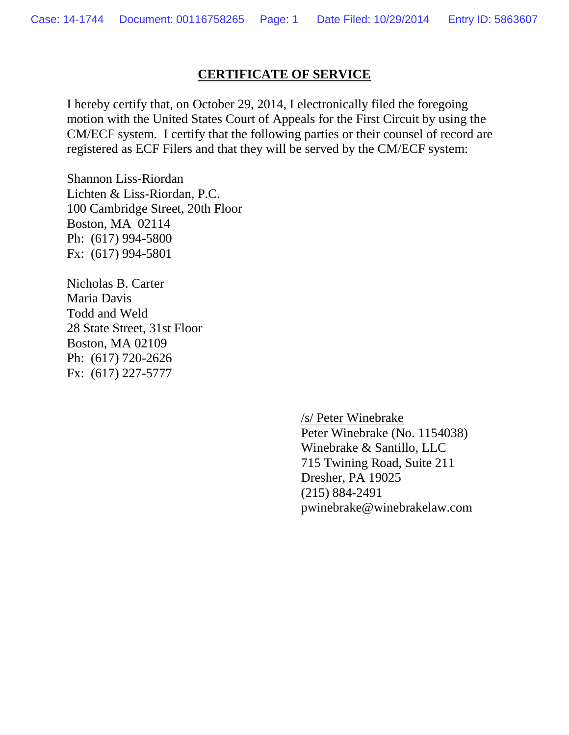### **CERTIFICATE OF SERVICE**

I hereby certify that, on October 29, 2014, I electronically filed the foregoing motion with the United States Court of Appeals for the First Circuit by using the CM/ECF system. I certify that the following parties or their counsel of record are registered as ECF Filers and that they will be served by the CM/ECF system:

Shannon Liss-Riordan Lichten & Liss-Riordan, P.C. 100 Cambridge Street, 20th Floor Boston, MA 02114 Ph: (617) 994-5800 Fx: (617) 994-5801

Nicholas B. Carter Maria Davis Todd and Weld 28 State Street, 31st Floor Boston, MA 02109 Ph: (617) 720-2626 Fx: (617) 227-5777

> /s/ Peter Winebrake Peter Winebrake (No. 1154038) Winebrake & Santillo, LLC 715 Twining Road, Suite 211 Dresher, PA 19025 (215) 884-2491 pwinebrake@winebrakelaw.com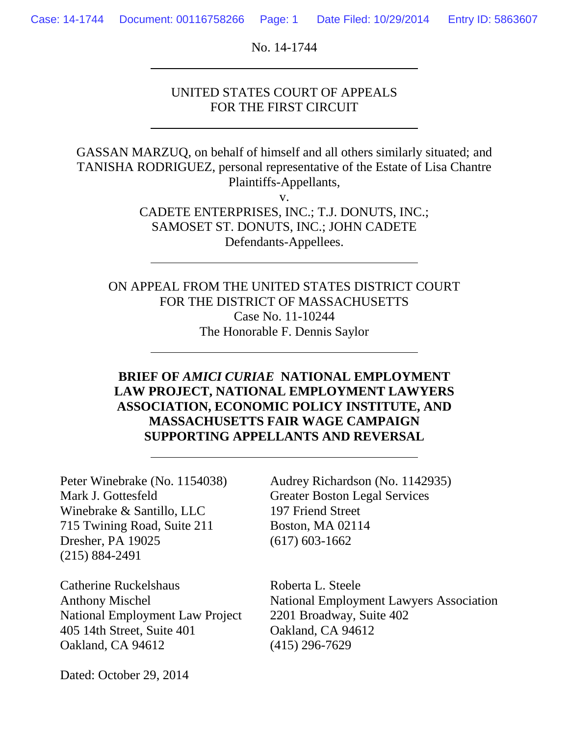No. 14-1744

### UNITED STATES COURT OF APPEALS FOR THE FIRST CIRCUIT

GASSAN MARZUQ, on behalf of himself and all others similarly situated; and TANISHA RODRIGUEZ, personal representative of the Estate of Lisa Chantre Plaintiffs-Appellants,

v.

CADETE ENTERPRISES, INC.; T.J. DONUTS, INC.; SAMOSET ST. DONUTS, INC.; JOHN CADETE Defendants-Appellees.

ON APPEAL FROM THE UNITED STATES DISTRICT COURT FOR THE DISTRICT OF MASSACHUSETTS Case No. 11-10244 The Honorable F. Dennis Saylor

# **BRIEF OF** *AMICI CURIAE* **NATIONAL EMPLOYMENT LAW PROJECT, NATIONAL EMPLOYMENT LAWYERS ASSOCIATION, ECONOMIC POLICY INSTITUTE, AND MASSACHUSETTS FAIR WAGE CAMPAIGN SUPPORTING APPELLANTS AND REVERSAL**

Peter Winebrake (No. 1154038) Mark J. Gottesfeld Winebrake & Santillo, LLC 715 Twining Road, Suite 211 Dresher, PA 19025 (215) 884-2491

Catherine Ruckelshaus Anthony Mischel National Employment Law Project 405 14th Street, Suite 401 Oakland, CA 94612

Audrey Richardson (No. 1142935) Greater Boston Legal Services 197 Friend Street Boston, MA 02114 (617) 603-1662

Roberta L. Steele National Employment Lawyers Association 2201 Broadway, Suite 402 Oakland, CA 94612 (415) 296-7629

Dated: October 29, 2014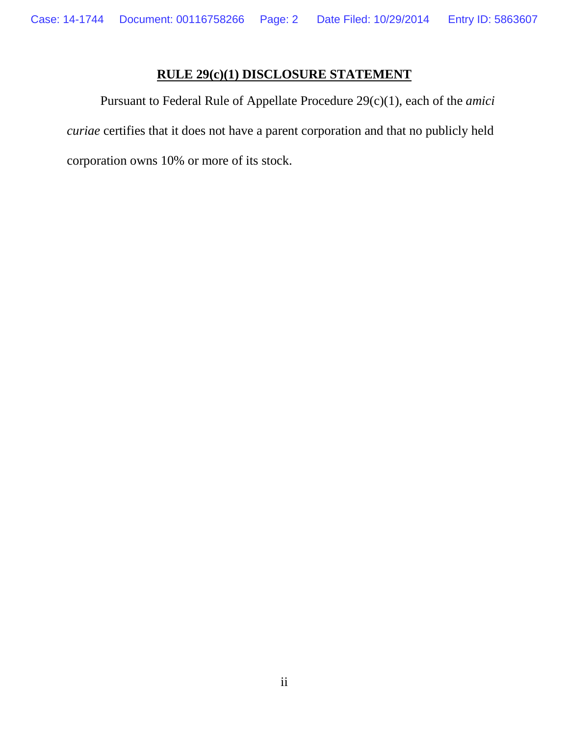# **RULE 29(c)(1) DISCLOSURE STATEMENT**

Pursuant to Federal Rule of Appellate Procedure 29(c)(1), each of the *amici curiae* certifies that it does not have a parent corporation and that no publicly held corporation owns 10% or more of its stock.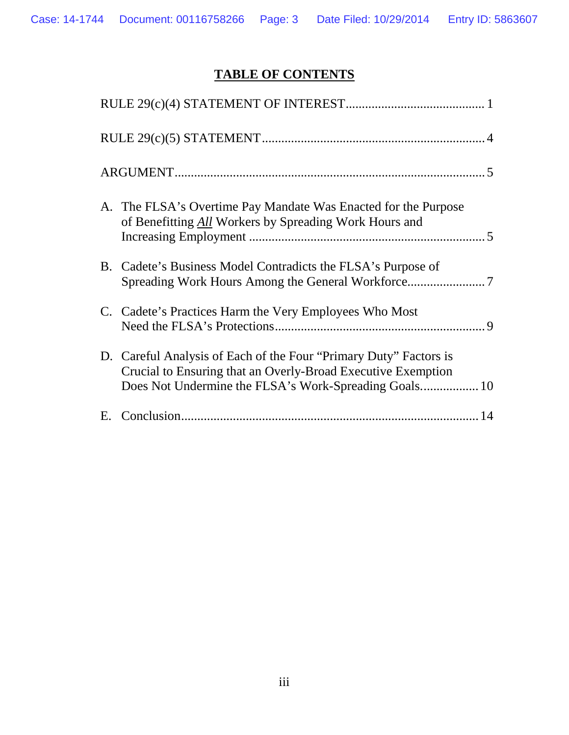# **TABLE OF CONTENTS**

| A. The FLSA's Overtime Pay Mandate Was Enacted for the Purpose<br>of Benefitting All Workers by Spreading Work Hours and          |
|-----------------------------------------------------------------------------------------------------------------------------------|
| B. Cadete's Business Model Contradicts the FLSA's Purpose of                                                                      |
| C. Cadete's Practices Harm the Very Employees Who Most                                                                            |
| D. Careful Analysis of Each of the Four "Primary Duty" Factors is<br>Crucial to Ensuring that an Overly-Broad Executive Exemption |
| 14                                                                                                                                |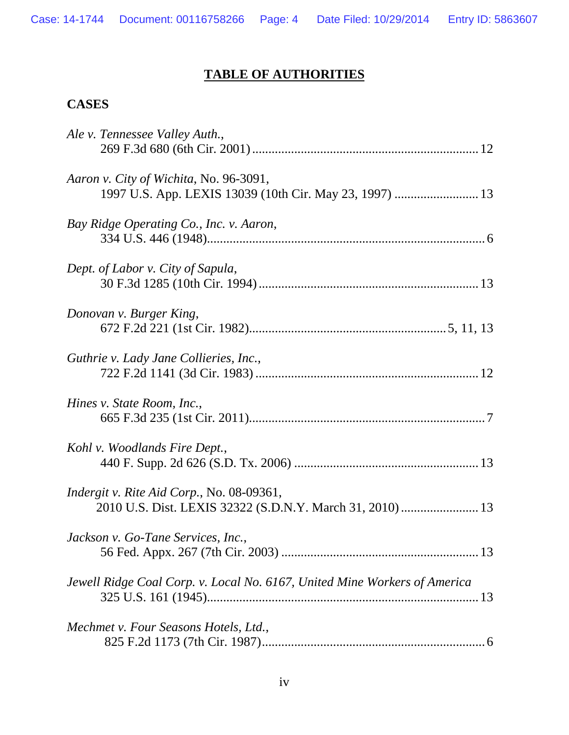# **TABLE OF AUTHORITIES**

# **CASES**

| Ale v. Tennessee Valley Auth.,                                                                    |
|---------------------------------------------------------------------------------------------------|
| Aaron v. City of Wichita, No. 96-3091,<br>1997 U.S. App. LEXIS 13039 (10th Cir. May 23, 1997)  13 |
| Bay Ridge Operating Co., Inc. v. Aaron,                                                           |
| Dept. of Labor v. City of Sapula,                                                                 |
| Donovan v. Burger King,                                                                           |
| Guthrie v. Lady Jane Collieries, Inc.,                                                            |
| Hines v. State Room, Inc.,                                                                        |
| Kohl v. Woodlands Fire Dept.,                                                                     |
| Indergit v. Rite Aid Corp., No. 08-09361,                                                         |
| Jackson v. Go-Tane Services, Inc.,                                                                |
| Jewell Ridge Coal Corp. v. Local No. 6167, United Mine Workers of America                         |
| Mechmet v. Four Seasons Hotels, Ltd.,                                                             |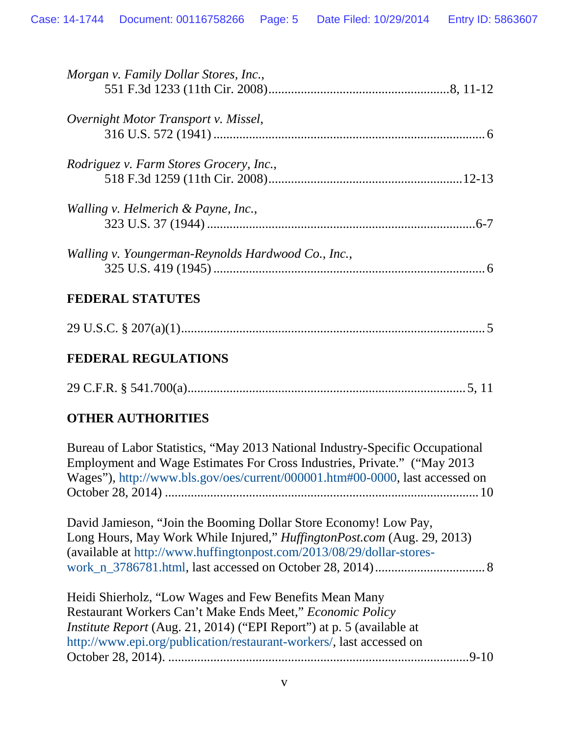| Morgan v. Family Dollar Stores, Inc.,              |  |  |
|----------------------------------------------------|--|--|
| Overnight Motor Transport v. Missel,               |  |  |
| Rodriguez v. Farm Stores Grocery, Inc.,            |  |  |
| Walling v. Helmerich & Payne, Inc.,                |  |  |
| Walling v. Youngerman-Reynolds Hardwood Co., Inc., |  |  |
| <b>FEDERAL STATUTES</b>                            |  |  |
|                                                    |  |  |
| <b>FEDERAL REGULATIONS</b>                         |  |  |
|                                                    |  |  |
| <b>OTHER AUTHORITIES</b>                           |  |  |

Bureau of Labor Statistics, "May 2013 National Industry-Specific Occupational Employment and Wage Estimates For Cross Industries, Private." ("May 2013 Wages"), [http://www.bls.gov/oes/current/000001.htm#00-0000,](http://www.bls.gov/oes/current/000001.htm#00-0000) last accessed on October 28, 2014) .................................................................................................10

David Jamieson, "Join the Booming Dollar Store Economy! Low Pay, Long Hours, May Work While Injured," *HuffingtonPost.com* (Aug. 29, 2013) (available at [http://www.huffingtonpost.com/2013/08/29/dollar-stores](http://www.huffingtonpost.com/2013/08/29/dollar-stores-work_n_3786781.html)[work\\_n\\_3786781.html,](http://www.huffingtonpost.com/2013/08/29/dollar-stores-work_n_3786781.html) last accessed on October 28, 2014).................................. 8

Heidi Shierholz, "Low Wages and Few Benefits Mean Many Restaurant Workers Can't Make Ends Meet," *Economic Policy Institute Report* (Aug. 21, 2014) ("EPI Report") at p. 5 (available at [http://www.epi.org/publication/restaurant-workers/,](http://www.epi.org/publication/restaurant-workers/) last accessed on October 28, 2014). .............................................................................................9-10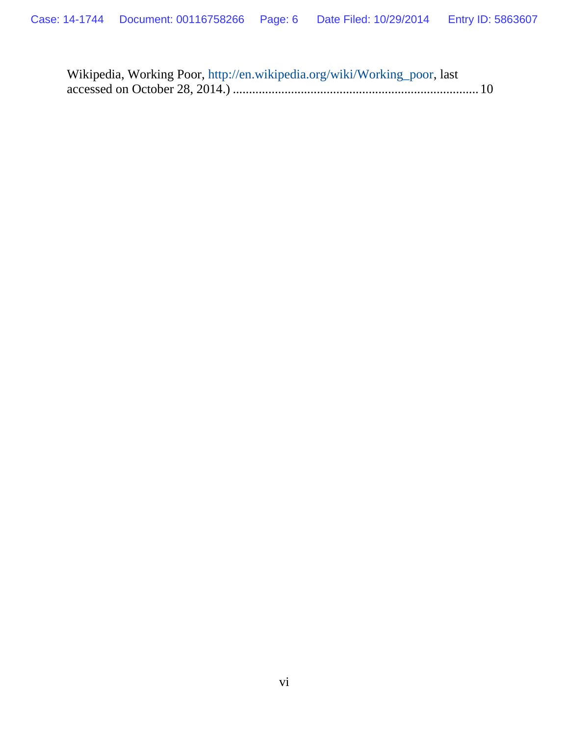| Wikipedia, Working Poor, http://en.wikipedia.org/wiki/Working_poor, last |
|--------------------------------------------------------------------------|
|                                                                          |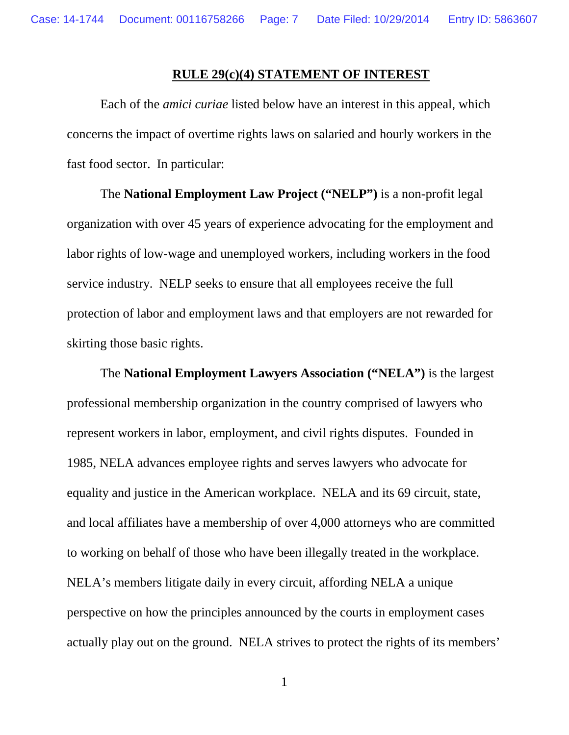#### **RULE 29(c)(4) STATEMENT OF INTEREST**

Each of the *amici curiae* listed below have an interest in this appeal, which concerns the impact of overtime rights laws on salaried and hourly workers in the fast food sector. In particular:

The **National Employment Law Project ("NELP")** is a non-profit legal organization with over 45 years of experience advocating for the employment and labor rights of low-wage and unemployed workers, including workers in the food service industry. NELP seeks to ensure that all employees receive the full protection of labor and employment laws and that employers are not rewarded for skirting those basic rights.

The **National Employment Lawyers Association ("NELA")** is the largest professional membership organization in the country comprised of lawyers who represent workers in labor, employment, and civil rights disputes. Founded in 1985, NELA advances employee rights and serves lawyers who advocate for equality and justice in the American workplace. NELA and its 69 circuit, state, and local affiliates have a membership of over 4,000 attorneys who are committed to working on behalf of those who have been illegally treated in the workplace. NELA's members litigate daily in every circuit, affording NELA a unique perspective on how the principles announced by the courts in employment cases actually play out on the ground. NELA strives to protect the rights of its members'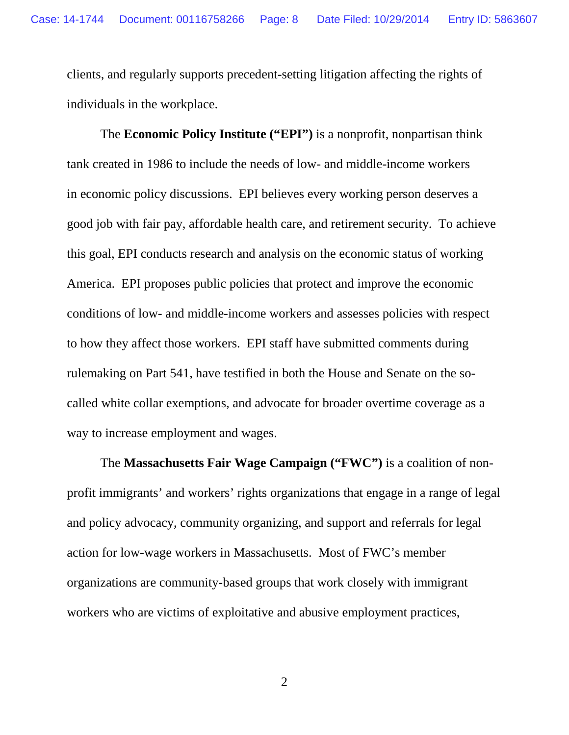clients, and regularly supports precedent-setting litigation affecting the rights of individuals in the workplace.

The **Economic Policy Institute ("EPI")** is a nonprofit, nonpartisan think tank created in 1986 to include the needs of low- and middle-income workers in economic policy discussions. EPI believes every working person deserves a good job with fair pay, affordable health care, and retirement security. To achieve this goal, EPI conducts research and analysis on the economic status of working America. EPI proposes public policies that protect and improve the economic conditions of low- and middle-income workers and assesses policies with respect to how they affect those workers. EPI staff have submitted comments during rulemaking on Part 541, have testified in both the House and Senate on the socalled white collar exemptions, and advocate for broader overtime coverage as a way to increase employment and wages.

The **Massachusetts Fair Wage Campaign ("FWC")** is a coalition of nonprofit immigrants' and workers' rights organizations that engage in a range of legal and policy advocacy, community organizing, and support and referrals for legal action for low-wage workers in Massachusetts. Most of FWC's member organizations are community-based groups that work closely with immigrant workers who are victims of exploitative and abusive employment practices,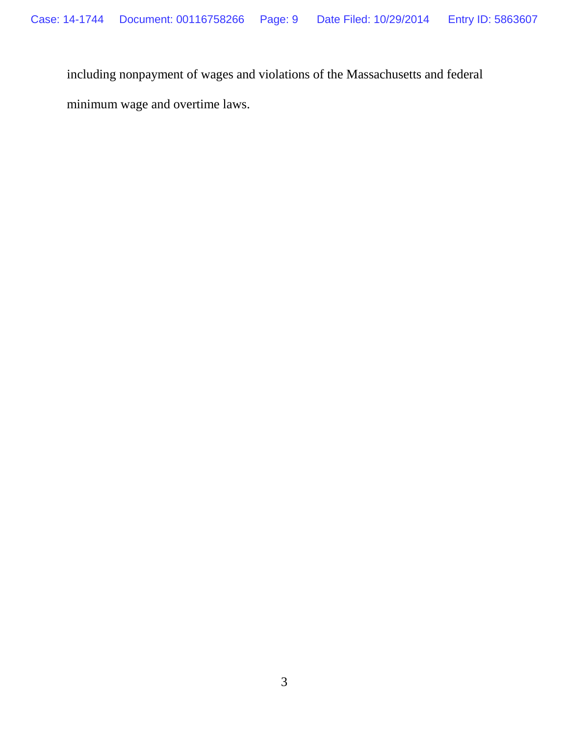including nonpayment of wages and violations of the Massachusetts and federal

minimum wage and overtime laws.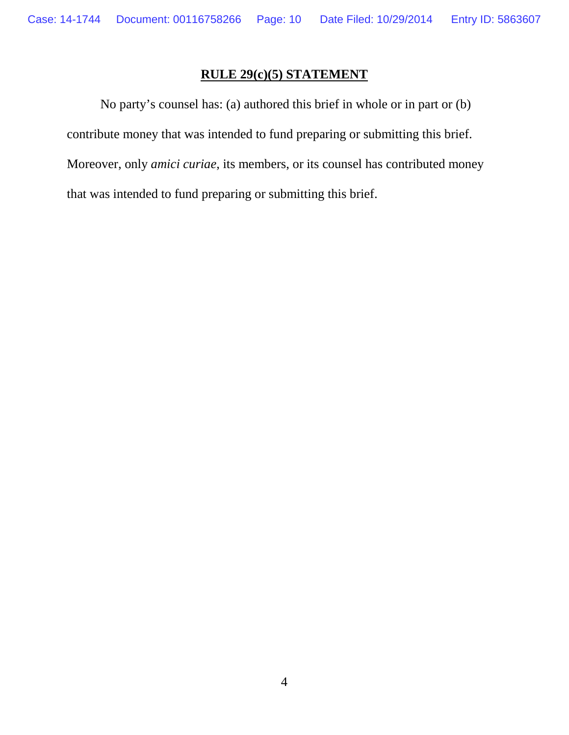# **RULE 29(c)(5) STATEMENT**

No party's counsel has: (a) authored this brief in whole or in part or (b) contribute money that was intended to fund preparing or submitting this brief. Moreover, only *amici curiae*, its members, or its counsel has contributed money that was intended to fund preparing or submitting this brief.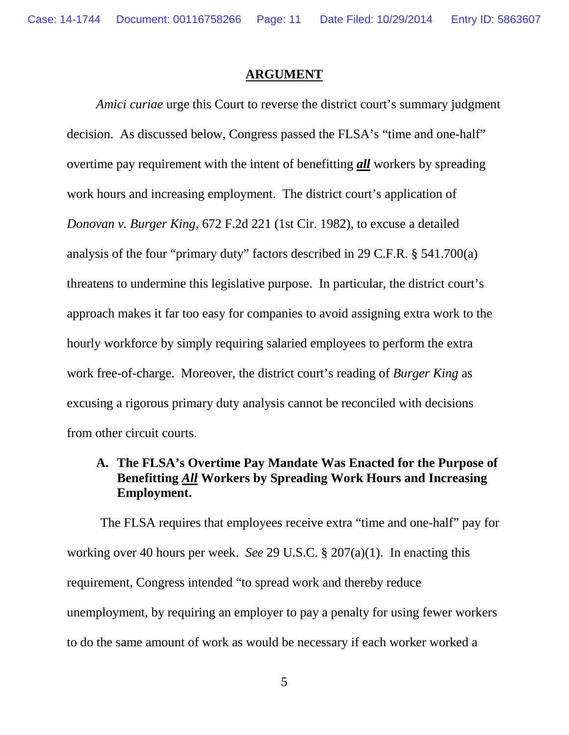#### **ARGUMENT**

*Amici curiae* urge this Court to reverse the district court's summary judgment decision. As discussed below, Congress passed the FLSA's "time and one-half" overtime pay requirement with the intent of benefitting *all* workers by spreading work hours and increasing employment. The district court's application of *Donovan v. Burger King*, 672 F.2d 221 (1st Cir. 1982), to excuse a detailed analysis of the four "primary duty" factors described in 29 C.F.R. § 541.700(a) threatens to undermine this legislative purpose. In particular, the district court's approach makes it far too easy for companies to avoid assigning extra work to the hourly workforce by simply requiring salaried employees to perform the extra work free-of-charge. Moreover, the district court's reading of *Burger King* as excusing a rigorous primary duty analysis cannot be reconciled with decisions from other circuit courts.

# **A. The FLSA's Overtime Pay Mandate Was Enacted for the Purpose of Benefitting** *All* **Workers by Spreading Work Hours and Increasing Employment.**

The FLSA requires that employees receive extra "time and one-half" pay for working over 40 hours per week. *See* 29 U.S.C. § 207(a)(1). In enacting this requirement, Congress intended "to spread work and thereby reduce unemployment, by requiring an employer to pay a penalty for using fewer workers to do the same amount of work as would be necessary if each worker worked a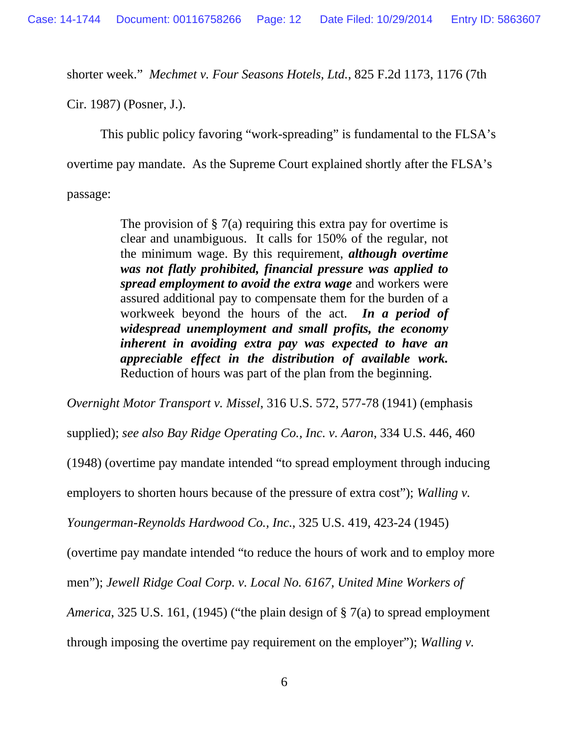shorter week." *Mechmet v. Four Seasons Hotels, Ltd.*, 825 F.2d 1173, 1176 (7th

Cir. 1987) (Posner, J.).

This public policy favoring "work-spreading" is fundamental to the FLSA's

overtime pay mandate. As the Supreme Court explained shortly after the FLSA's

passage:

The provision of  $\S 7(a)$  requiring this extra pay for overtime is clear and unambiguous. It calls for 150% of the regular, not the minimum wage. By this requirement, *although overtime was not flatly prohibited, financial pressure was applied to spread employment to avoid the extra wage* and workers were assured additional pay to compensate them for the burden of a workweek beyond the hours of the act. *In a period of widespread unemployment and small profits, the economy inherent in avoiding extra pay was expected to have an appreciable effect in the distribution of available work.* Reduction of hours was part of the plan from the beginning.

*Overnight Motor Transport v. Missel*, 316 U.S. 572, 577-78 (1941) (emphasis supplied); *see also Bay Ridge Operating Co., Inc. v. Aaron*, 334 U.S. 446, 460 (1948) (overtime pay mandate intended "to spread employment through inducing employers to shorten hours because of the pressure of extra cost"); *Walling v. Youngerman-Reynolds Hardwood Co., Inc.*, 325 U.S. 419, 423-24 (1945) (overtime pay mandate intended "to reduce the hours of work and to employ more men"); *Jewell Ridge Coal Corp. v. Local No. 6167, United Mine Workers of America*, 325 U.S. 161, (1945) ("the plain design of § 7(a) to spread employment through imposing the overtime pay requirement on the employer"); *Walling v.*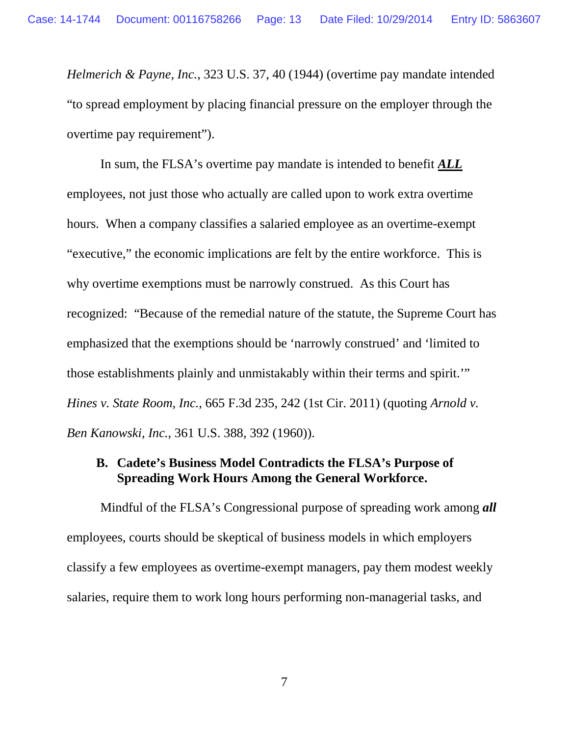*Helmerich & Payne, Inc.*, 323 U.S. 37, 40 (1944) (overtime pay mandate intended "to spread employment by placing financial pressure on the employer through the overtime pay requirement").

In sum, the FLSA's overtime pay mandate is intended to benefit *ALL* employees, not just those who actually are called upon to work extra overtime hours. When a company classifies a salaried employee as an overtime-exempt "executive," the economic implications are felt by the entire workforce. This is why overtime exemptions must be narrowly construed. As this Court has recognized: "Because of the remedial nature of the statute, the Supreme Court has emphasized that the exemptions should be 'narrowly construed' and 'limited to those establishments plainly and unmistakably within their terms and spirit.'" *Hines v. State Room, Inc.*, 665 F.3d 235, 242 (1st Cir. 2011) (quoting *Arnold v. Ben Kanowski, Inc.*, 361 U.S. 388, 392 (1960)).

## **B. Cadete's Business Model Contradicts the FLSA's Purpose of Spreading Work Hours Among the General Workforce.**

Mindful of the FLSA's Congressional purpose of spreading work among *all* employees, courts should be skeptical of business models in which employers classify a few employees as overtime-exempt managers, pay them modest weekly salaries, require them to work long hours performing non-managerial tasks, and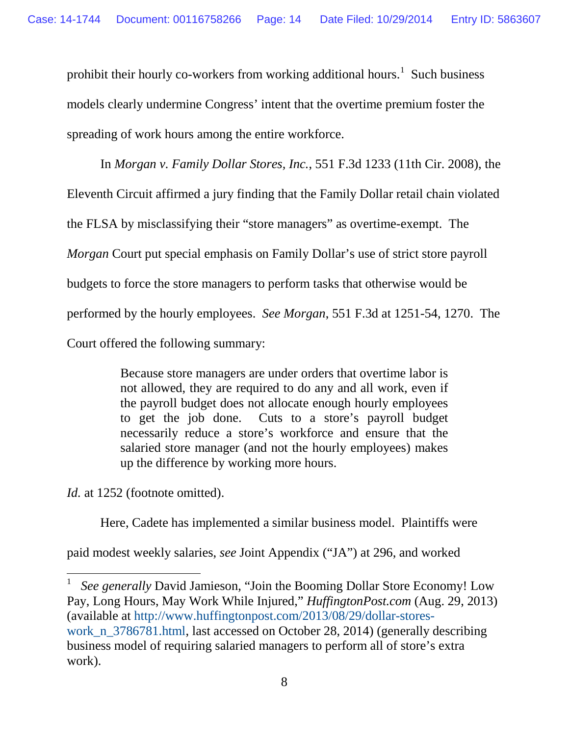prohibit their hourly co-workers from working additional hours.<sup>[1](#page-22-0)</sup> Such business models clearly undermine Congress' intent that the overtime premium foster the spreading of work hours among the entire workforce.

In *Morgan v. Family Dollar Stores, Inc.*, 551 F.3d 1233 (11th Cir. 2008), the Eleventh Circuit affirmed a jury finding that the Family Dollar retail chain violated the FLSA by misclassifying their "store managers" as overtime-exempt. The *Morgan* Court put special emphasis on Family Dollar's use of strict store payroll budgets to force the store managers to perform tasks that otherwise would be performed by the hourly employees. *See Morgan*, 551 F.3d at 1251-54, 1270. The Court offered the following summary:

> Because store managers are under orders that overtime labor is not allowed, they are required to do any and all work, even if the payroll budget does not allocate enough hourly employees to get the job done. Cuts to a store's payroll budget necessarily reduce a store's workforce and ensure that the salaried store manager (and not the hourly employees) makes up the difference by working more hours.

*Id.* at 1252 (footnote omitted).

ı

Here, Cadete has implemented a similar business model. Plaintiffs were

paid modest weekly salaries, *see* Joint Appendix ("JA") at 296, and worked

<span id="page-22-0"></span>1 *See generally* David Jamieson, "Join the Booming Dollar Store Economy! Low Pay, Long Hours, May Work While Injured," *HuffingtonPost.com* (Aug. 29, 2013) (available at [http://www.huffingtonpost.com/2013/08/29/dollar-stores](http://www.huffingtonpost.com/2013/08/29/dollar-stores-work_n_3786781.html)[work\\_n\\_3786781.html,](http://www.huffingtonpost.com/2013/08/29/dollar-stores-work_n_3786781.html) last accessed on October 28, 2014) (generally describing business model of requiring salaried managers to perform all of store's extra work).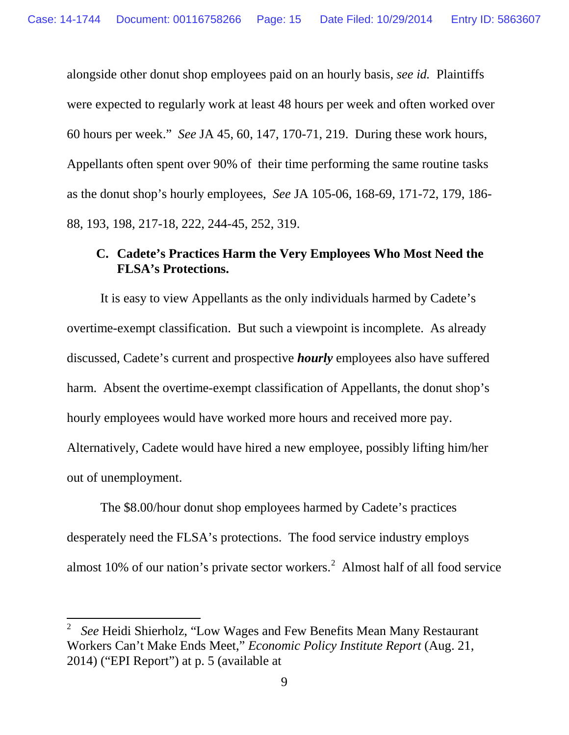alongside other donut shop employees paid on an hourly basis, *see id.* Plaintiffs were expected to regularly work at least 48 hours per week and often worked over 60 hours per week." *See* JA 45, 60, 147, 170-71, 219. During these work hours, Appellants often spent over 90% of their time performing the same routine tasks as the donut shop's hourly employees, *See* JA 105-06, 168-69, 171-72, 179, 186- 88, 193, 198, 217-18, 222, 244-45, 252, 319.

# **C. Cadete's Practices Harm the Very Employees Who Most Need the FLSA's Protections.**

It is easy to view Appellants as the only individuals harmed by Cadete's overtime-exempt classification. But such a viewpoint is incomplete. As already discussed, Cadete's current and prospective *hourly* employees also have suffered harm. Absent the overtime-exempt classification of Appellants, the donut shop's hourly employees would have worked more hours and received more pay. Alternatively, Cadete would have hired a new employee, possibly lifting him/her

out of unemployment.

ı

The \$8.00/hour donut shop employees harmed by Cadete's practices desperately need the FLSA's protections. The food service industry employs almost 10% of our nation's private sector workers.<sup>[2](#page-23-0)</sup> Almost half of all food service

<span id="page-23-0"></span><sup>2</sup> *See* Heidi Shierholz, "Low Wages and Few Benefits Mean Many Restaurant Workers Can't Make Ends Meet," *Economic Policy Institute Report* (Aug. 21, 2014) ("EPI Report") at p. 5 (available at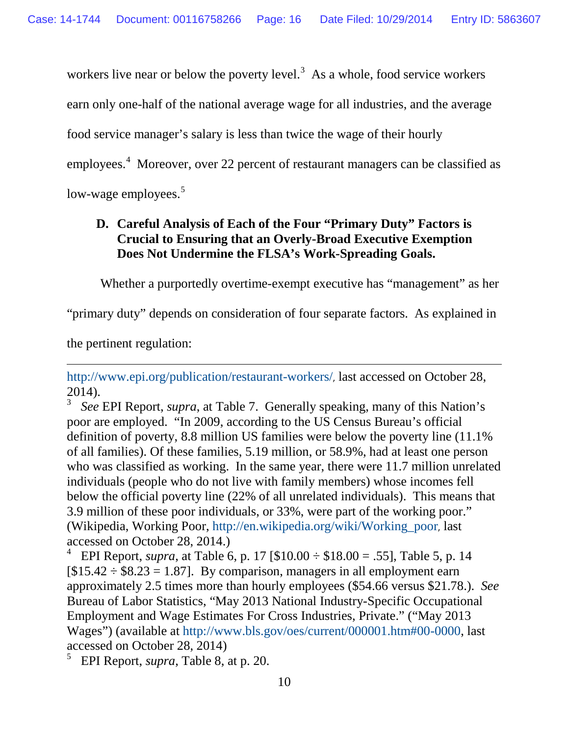workers live near or below the poverty level.<sup>[3](#page-24-0)</sup> As a whole, food service workers

earn only one-half of the national average wage for all industries, and the average

food service manager's salary is less than twice the wage of their hourly

employees.<sup>[4](#page-24-1)</sup> Moreover, over 22 percent of restaurant managers can be classified as

low-wage employees.<sup>[5](#page-24-2)</sup>

# **D. Careful Analysis of Each of the Four "Primary Duty" Factors is Crucial to Ensuring that an Overly-Broad Executive Exemption Does Not Undermine the FLSA's Work-Spreading Goals.**

Whether a purportedly overtime-exempt executive has "management" as her

"primary duty" depends on consideration of four separate factors. As explained in

the pertinent regulation:

ı

<http://www.epi.org/publication/restaurant-workers/>, last accessed on October 28,  $^{2014)}$ .

<span id="page-24-0"></span>3 *See* EPI Report, *supra*, at Table 7. Generally speaking, many of this Nation's poor are employed. "In 2009, according to the US Census Bureau's official definition of poverty, 8.8 million US families were below the poverty line (11.1% of all families). Of these families, 5.19 million, or 58.9%, had at least one person who was classified as working. In the same year, there were 11.7 million unrelated individuals (people who do not live with family members) whose incomes fell below the official poverty line (22% of all unrelated individuals). This means that 3.9 million of these poor individuals, or 33%, were part of the working poor." (Wikipedia, Working Poor, [http://en.wikipedia.org/wiki/Working\\_poor](http://en.wikipedia.org/wiki/Working_poor), last accessed on October 28, 2014.)

<span id="page-24-1"></span>4 EPI Report, *supra*, at Table 6, p. 17 [\$10.00 ÷ \$18.00 = .55], Table 5, p. 14  $[$15.42 \div $8.23 = 1.87]$ . By comparison, managers in all employment earn approximately 2.5 times more than hourly employees (\$54.66 versus \$21.78.). *See*  Bureau of Labor Statistics, "May 2013 National Industry-Specific Occupational Employment and Wage Estimates For Cross Industries, Private." ("May 2013 Wages") (available at [http://www.bls.gov/oes/current/000001.htm#00-0000,](http://www.bls.gov/oes/current/000001.htm#00-0000) last accessed on October 28, 2014)

<span id="page-24-2"></span>5 EPI Report, *supra*, Table 8, at p. 20.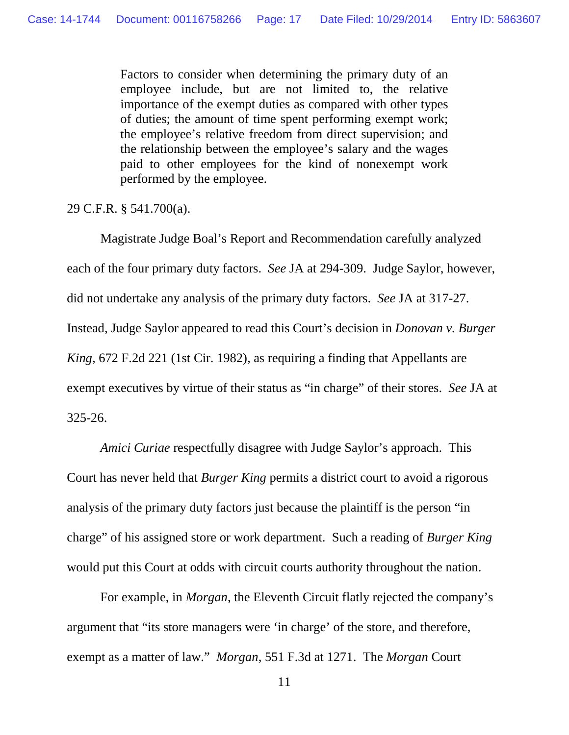Factors to consider when determining the primary duty of an employee include, but are not limited to, the relative importance of the exempt duties as compared with other types of duties; the amount of time spent performing exempt work; the employee's relative freedom from direct supervision; and the relationship between the employee's salary and the wages paid to other employees for the kind of nonexempt work performed by the employee.

29 C.F.R. § 541.700(a).

Magistrate Judge Boal's Report and Recommendation carefully analyzed each of the four primary duty factors. *See* JA at 294-309. Judge Saylor, however, did not undertake any analysis of the primary duty factors. *See* JA at 317-27. Instead, Judge Saylor appeared to read this Court's decision in *Donovan v. Burger King*, 672 F.2d 221 (1st Cir. 1982), as requiring a finding that Appellants are exempt executives by virtue of their status as "in charge" of their stores. *See* JA at 325-26.

*Amici Curiae* respectfully disagree with Judge Saylor's approach. This Court has never held that *Burger King* permits a district court to avoid a rigorous analysis of the primary duty factors just because the plaintiff is the person "in charge" of his assigned store or work department. Such a reading of *Burger King* would put this Court at odds with circuit courts authority throughout the nation.

For example, in *Morgan*, the Eleventh Circuit flatly rejected the company's argument that "its store managers were 'in charge' of the store, and therefore, exempt as a matter of law." *Morgan*, 551 F.3d at 1271. The *Morgan* Court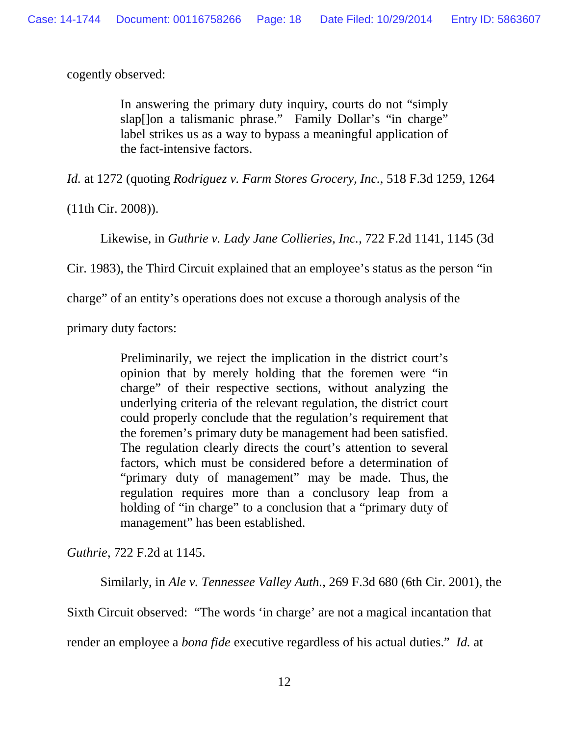cogently observed:

In answering the primary duty inquiry, courts do not "simply slap[]on a talismanic phrase." Family Dollar's "in charge" label strikes us as a way to bypass a meaningful application of the fact-intensive factors.

*Id.* at 1272 (quoting *Rodriguez v. Farm Stores Grocery, Inc.*, 518 F.3d 1259, 1264

(11th Cir. 2008)).

Likewise, in *Guthrie v. Lady Jane Collieries, Inc.*, 722 F.2d 1141, 1145 (3d

Cir. 1983), the Third Circuit explained that an employee's status as the person "in

charge" of an entity's operations does not excuse a thorough analysis of the

primary duty factors:

Preliminarily, we reject the implication in the district court's opinion that by merely holding that the foremen were "in charge" of their respective sections, without analyzing the underlying criteria of the relevant regulation, the district court could properly conclude that the regulation's requirement that the foremen's primary duty be management had been satisfied. The regulation clearly directs the court's attention to several factors, which must be considered before a determination of "primary duty of management" may be made. Thus, the regulation requires more than a conclusory leap from a holding of "in charge" to a conclusion that a "primary duty of management" has been established.

*Guthrie*, 722 F.2d at 1145.

Similarly, in *Ale v. Tennessee Valley Auth.*, 269 F.3d 680 (6th Cir. 2001), the

Sixth Circuit observed: "The words 'in charge' are not a magical incantation that

render an employee a *bona fide* executive regardless of his actual duties." *Id.* at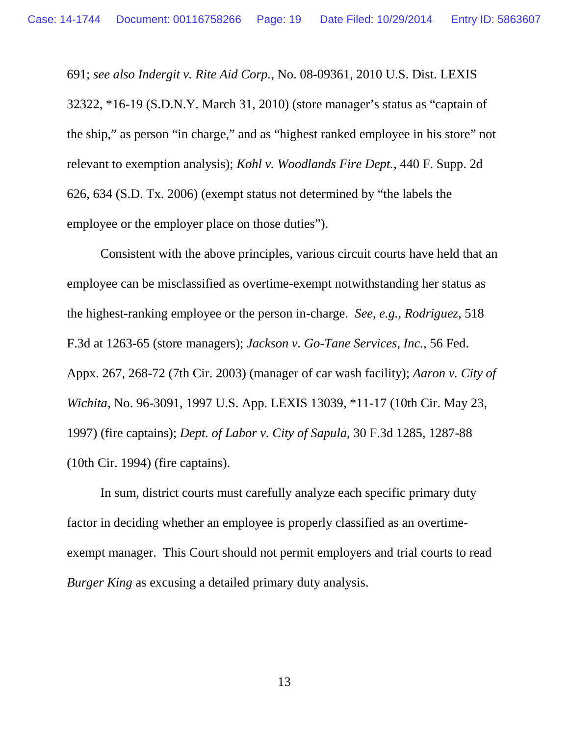691; *see also Indergit v. Rite Aid Corp.*, No. 08-09361, 2010 U.S. Dist. LEXIS 32322, \*16-19 (S.D.N.Y. March 31, 2010) (store manager's status as "captain of the ship," as person "in charge," and as "highest ranked employee in his store" not relevant to exemption analysis); *Kohl v. Woodlands Fire Dept.*, 440 F. Supp. 2d 626, 634 (S.D. Tx. 2006) (exempt status not determined by "the labels the employee or the employer place on those duties").

Consistent with the above principles, various circuit courts have held that an employee can be misclassified as overtime-exempt notwithstanding her status as the highest-ranking employee or the person in-charge. *See*, *e.g.*, *Rodriguez*, 518 F.3d at 1263-65 (store managers); *Jackson v. Go-Tane Services, Inc.*, 56 Fed. Appx. 267, 268-72 (7th Cir. 2003) (manager of car wash facility); *Aaron v. City of Wichita*, No. 96-3091, 1997 U.S. App. LEXIS 13039, \*11-17 (10th Cir. May 23, 1997) (fire captains); *Dept. of Labor v. City of Sapula*, 30 F.3d 1285, 1287-88 (10th Cir. 1994) (fire captains).

In sum, district courts must carefully analyze each specific primary duty factor in deciding whether an employee is properly classified as an overtimeexempt manager. This Court should not permit employers and trial courts to read *Burger King* as excusing a detailed primary duty analysis.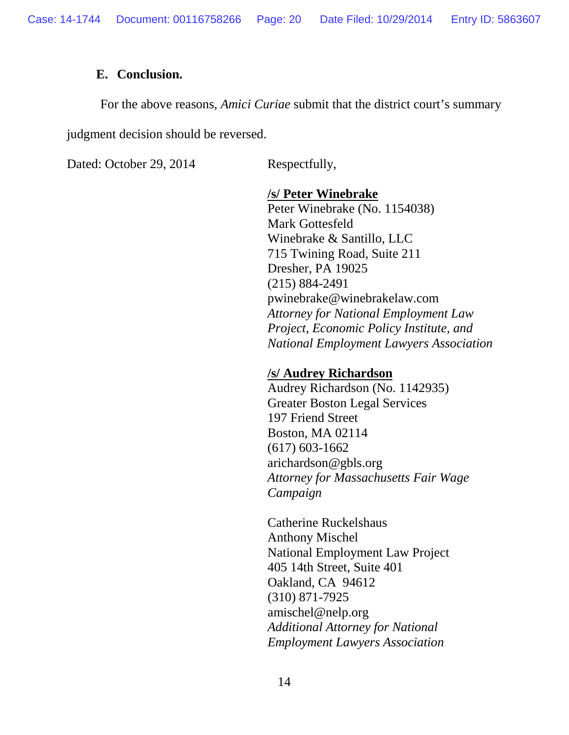#### **E. Conclusion.**

For the above reasons, *Amici Curiae* submit that the district court's summary

judgment decision should be reversed.

Dated: October 29, 2014 Respectfully,

### **/s/ Peter Winebrake**

Peter Winebrake (No. 1154038) Mark Gottesfeld Winebrake & Santillo, LLC 715 Twining Road, Suite 211 Dresher, PA 19025 (215) 884-2491 pwinebrake@winebrakelaw.com *Attorney for National Employment Law Project, Economic Policy Institute, and National Employment Lawyers Association*

### **/s/ Audrey Richardson**

Audrey Richardson (No. 1142935) Greater Boston Legal Services 197 Friend Street Boston, MA 02114 (617) 603-1662 arichardson@gbls.org *Attorney for Massachusetts Fair Wage Campaign*

Catherine Ruckelshaus Anthony Mischel National Employment Law Project 405 14th Street, Suite 401 Oakland, CA 94612 (310) 871-7925 amischel@nelp.org *Additional Attorney for National Employment Lawyers Association*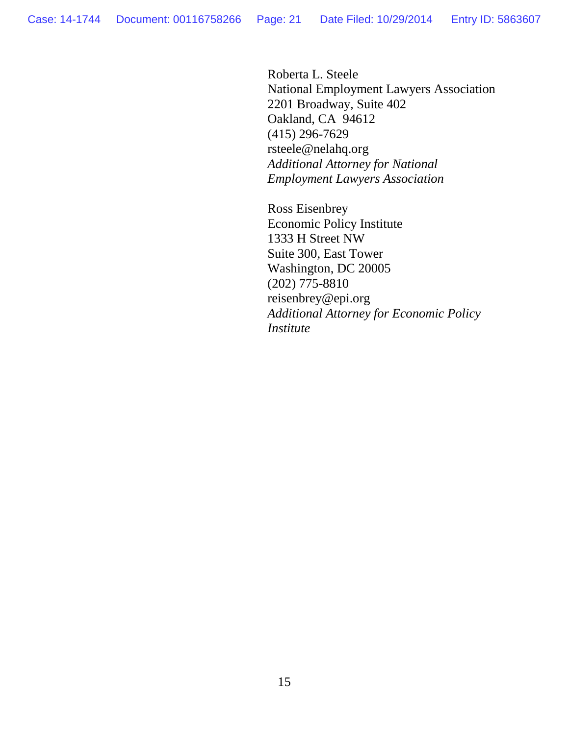Roberta L. Steele National Employment Lawyers Association 2201 Broadway, Suite 402 Oakland, CA 94612 (415) 296-7629 rsteele@nelahq.org *Additional Attorney for National Employment Lawyers Association*

Ross Eisenbrey Economic Policy Institute 1333 H Street NW Suite 300, East Tower Washington, DC 20005 (202) 775-8810 reisenbrey@epi.org *Additional Attorney for Economic Policy Institute*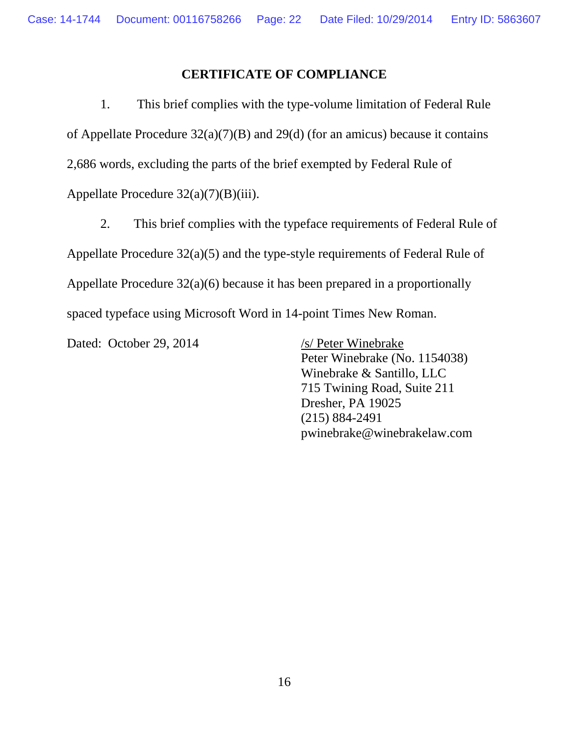### **CERTIFICATE OF COMPLIANCE**

1. This brief complies with the type-volume limitation of Federal Rule of Appellate Procedure 32(a)(7)(B) and 29(d) (for an amicus) because it contains 2,686 words, excluding the parts of the brief exempted by Federal Rule of Appellate Procedure 32(a)(7)(B)(iii).

2. This brief complies with the typeface requirements of Federal Rule of Appellate Procedure 32(a)(5) and the type-style requirements of Federal Rule of Appellate Procedure 32(a)(6) because it has been prepared in a proportionally spaced typeface using Microsoft Word in 14-point Times New Roman.

Dated: October 29, 2014 /s/ Peter Winebrake

Peter Winebrake (No. 1154038) Winebrake & Santillo, LLC 715 Twining Road, Suite 211 Dresher, PA 19025 (215) 884-2491 pwinebrake@winebrakelaw.com